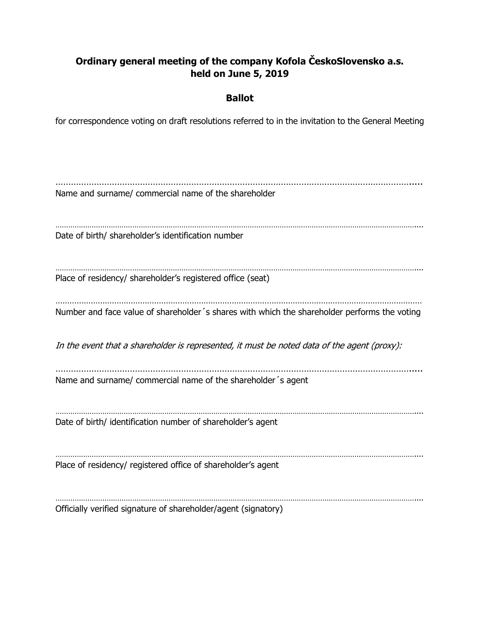## **Ordinary general meeting of the company Kofola ČeskoSlovensko a.s. held on June 5, 2019**

## **Ballot**

for correspondence voting on draft resolutions referred to in the invitation to the General Meeting

…………………………………………………………………………………………………………………………..... Name and surname/ commercial name of the shareholder …………………………………………………………………………………………………………………………………………………….... Date of birth/ shareholder's identification number …………………………………………………………………………………………………………………………………………………….... Place of residency/ shareholder's registered office (seat) ………………………………………………………………………………………………………………………………………… Number and face value of shareholder´s shares with which the shareholder performs the voting In the event that a shareholder is represented, it must be noted data of the agent (proxy): …………………………………………………………………………………………………………………………..... Name and surname/ commercial name of the shareholder´s agent . The contract of the contract of the contract of the contract of the contract of the contract of the contract of the contract of the contract of the contract of the contract of the contract of the contract of the contrac Date of birth/ identification number of shareholder's agent …………………………………………………………………………………………………………………………………………………….... Place of residency/ registered office of shareholder's agent …………………………………………………………………………………………………………………………………………………….... Officially verified signature of shareholder/agent (signatory)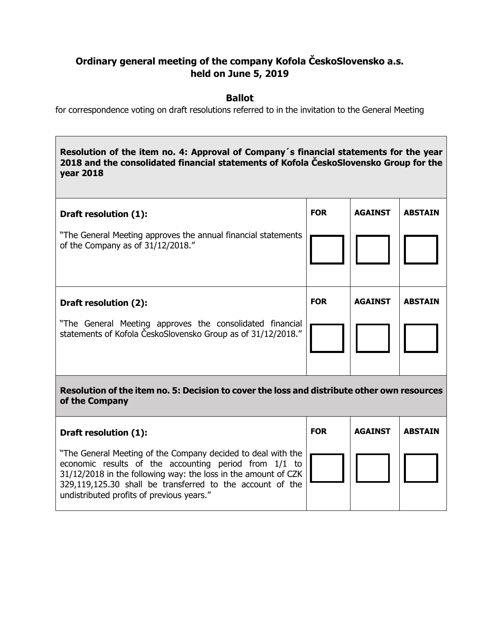## **Ordinary general meeting of the company Kofola ČeskoSlovensko a.s. held on June 5, 2019**

## **Ballot**

for correspondence voting on draft resolutions referred to in the invitation to the General Meeting

**Resolution of the item no. 4: Approval of Company´s financial statements for the year 2018 and the consolidated financial statements of Kofola ČeskoSlovensko Group for the year 2018**

| Draft resolution (1):<br>"The General Meeting approves the annual financial statements<br>of the Company as of 31/12/2018."                       | <b>FOR</b> | <b>AGAINST</b> | <b>ABSTAIN</b> |  |
|---------------------------------------------------------------------------------------------------------------------------------------------------|------------|----------------|----------------|--|
| Draft resolution (2):<br>"The General Meeting approves the consolidated financial<br>statements of Kofola ČeskoSlovensko Group as of 31/12/2018." | <b>FOR</b> | <b>AGAINST</b> | <b>ABSTAIN</b> |  |
| Resolution of the item no. 5: Decision to cover the loss and distribute other own resources<br>of the Company                                     |            |                |                |  |

| Draft resolution (1):                                                                                                                                                                                                                                                                               | <b>FOR</b> | <b>AGAINST</b> | <b>ABSTAIN</b> |
|-----------------------------------------------------------------------------------------------------------------------------------------------------------------------------------------------------------------------------------------------------------------------------------------------------|------------|----------------|----------------|
| "The General Meeting of the Company decided to deal with the<br>economic results of the accounting period from 1/1 to<br>$31/12/2018$ in the following way: the loss in the amount of CZK<br>329,119,125.30 shall be transferred to the account of the<br>undistributed profits of previous years." |            |                |                |